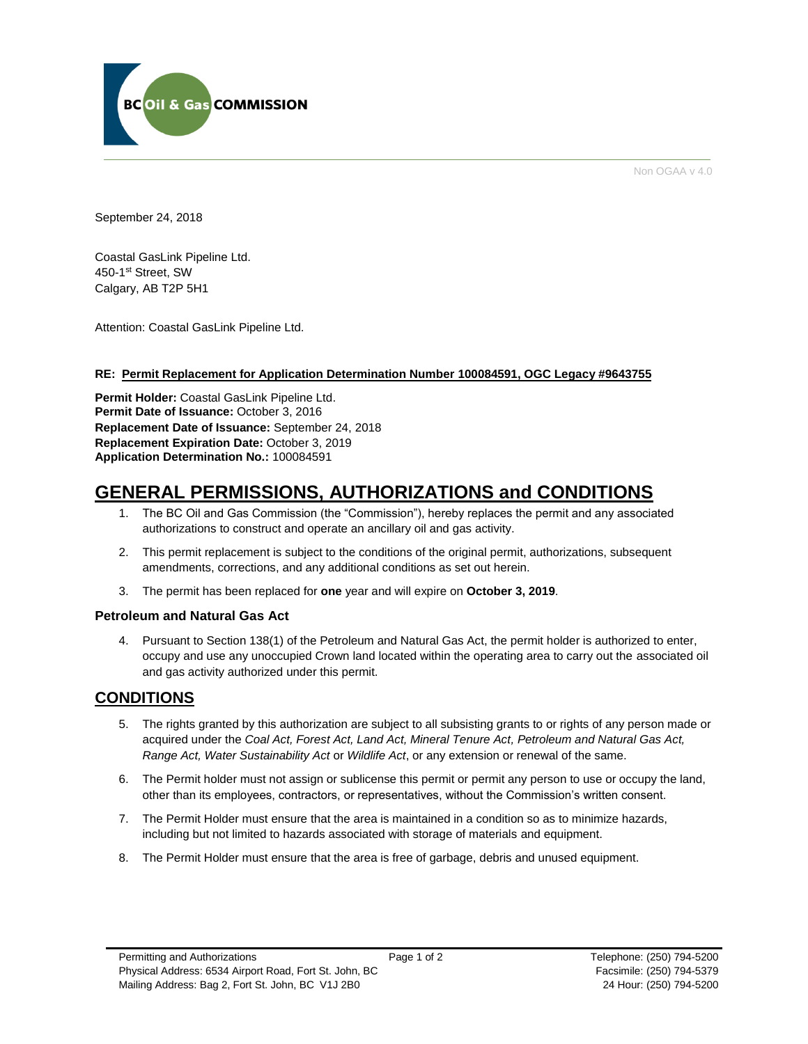

Non OGAA v 4.0

September 24, 2018

Coastal GasLink Pipeline Ltd. 450-1st Street, SW Calgary, AB T2P 5H1

Attention: Coastal GasLink Pipeline Ltd.

## **RE: Permit Replacement for Application Determination Number 100084591, OGC Legacy #9643755**

**Permit Holder:** Coastal GasLink Pipeline Ltd. Permit Date of Issuance: October 3, 2016 **Replacement Date of Issuance:** September 24, 2018 **Replacement Expiration Date:** October 3, 2019 **Application Determination No.:** 100084591

# **GENERAL PERMISSIONS, AUTHORIZATIONS and CONDITIONS**

- 1. The BC Oil and Gas Commission (the "Commission"), hereby replaces the permit and any associated authorizations to construct and operate an ancillary oil and gas activity.
- 2. This permit replacement is subject to the conditions of the original permit, authorizations, subsequent amendments, corrections, and any additional conditions as set out herein.
- 3. The permit has been replaced for **one** year and will expire on **October 3, 2019**.

## **Petroleum and Natural Gas Act**

4. Pursuant to Section 138(1) of the Petroleum and Natural Gas Act, the permit holder is authorized to enter, occupy and use any unoccupied Crown land located within the operating area to carry out the associated oil and gas activity authorized under this permit.

## **CONDITIONS**

- 5. The rights granted by this authorization are subject to all subsisting grants to or rights of any person made or acquired under the *Coal Act, Forest Act, Land Act, Mineral Tenure Act, Petroleum and Natural Gas Act, Range Act, Water Sustainability Act* or *Wildlife Act*, or any extension or renewal of the same.
- 6. The Permit holder must not assign or sublicense this permit or permit any person to use or occupy the land, other than its employees, contractors, or representatives, without the Commission's written consent.
- 7. The Permit Holder must ensure that the area is maintained in a condition so as to minimize hazards, including but not limited to hazards associated with storage of materials and equipment.
- 8. The Permit Holder must ensure that the area is free of garbage, debris and unused equipment.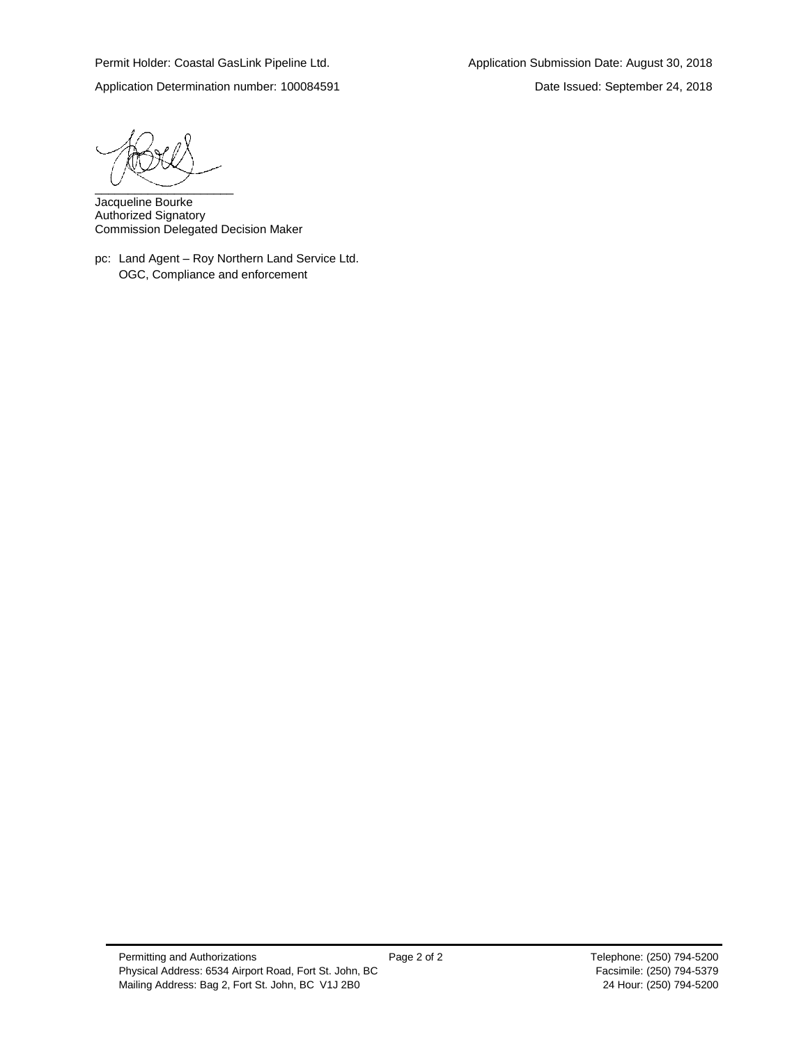$\overbrace{\phantom{aaaaa}}^{c}$ 

Jacqueline Bourke Authorized Signatory Commission Delegated Decision Maker

pc: Land Agent – Roy Northern Land Service Ltd. OGC, Compliance and enforcement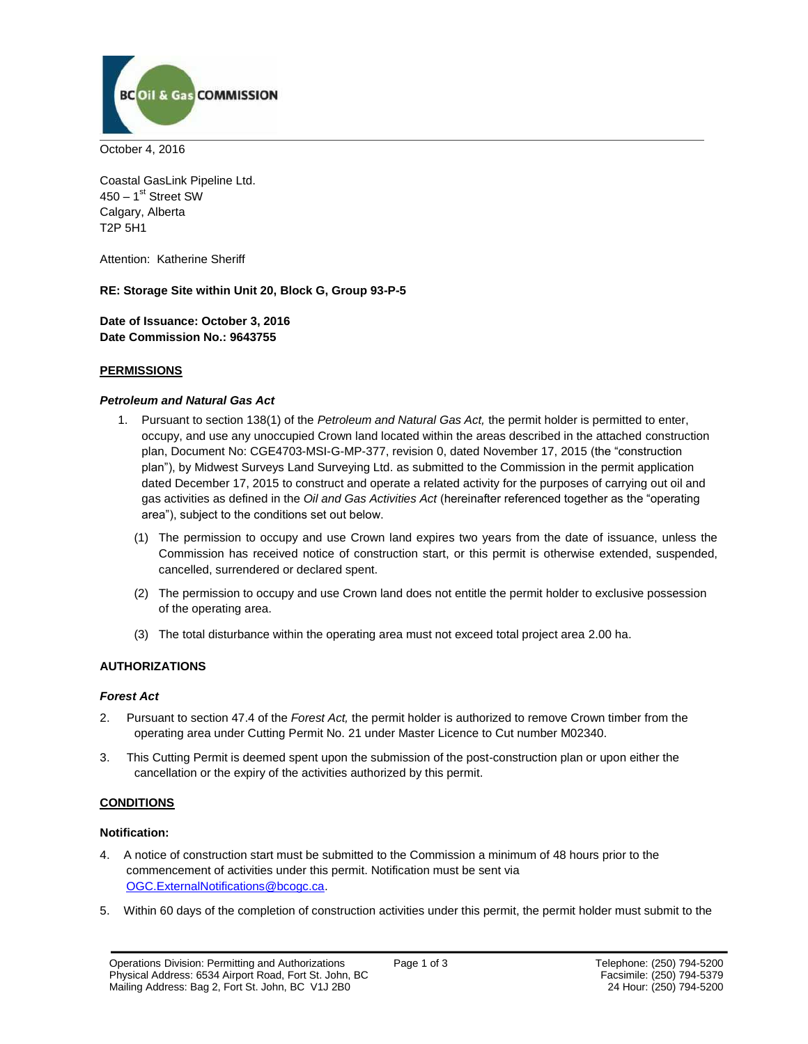

October 4, 2016

Coastal GasLink Pipeline Ltd. 450 – 1<sup>st</sup> Street SW Calgary, Alberta T2P 5H1

Attention: Katherine Sheriff

**RE: Storage Site within Unit 20, Block G, Group 93-P-5**

**Date of Issuance: October 3, 2016 Date Commission No.: 9643755**

## **PERMISSIONS**

#### *Petroleum and Natural Gas Act*

- 1. Pursuant to section 138(1) of the *Petroleum and Natural Gas Act,* the permit holder is permitted to enter, occupy, and use any unoccupied Crown land located within the areas described in the attached construction plan, Document No: CGE4703-MSI-G-MP-377, revision 0, dated November 17, 2015 (the "construction plan"), by Midwest Surveys Land Surveying Ltd. as submitted to the Commission in the permit application dated December 17, 2015 to construct and operate a related activity for the purposes of carrying out oil and gas activities as defined in the *Oil and Gas Activities Act* (hereinafter referenced together as the "operating area"), subject to the conditions set out below.
	- (1) The permission to occupy and use Crown land expires two years from the date of issuance, unless the Commission has received notice of construction start, or this permit is otherwise extended, suspended, cancelled, surrendered or declared spent.
	- (2) The permission to occupy and use Crown land does not entitle the permit holder to exclusive possession of the operating area.
	- (3) The total disturbance within the operating area must not exceed total project area 2.00 ha.

## **AUTHORIZATIONS**

#### *Forest Act*

- 2. Pursuant to section 47.4 of the *Forest Act,* the permit holder is authorized to remove Crown timber from the operating area under Cutting Permit No. 21 under Master Licence to Cut number M02340.
- 3. This Cutting Permit is deemed spent upon the submission of the post-construction plan or upon either the cancellation or the expiry of the activities authorized by this permit.

## **CONDITIONS**

#### **Notification:**

- 4. A notice of construction start must be submitted to the Commission a minimum of 48 hours prior to the commencement of activities under this permit. Notification must be sent via [OGC.ExternalNotifications@bcogc.ca.](mailto:OGC.ExternalNotifications@bcogc.ca)
- 5. Within 60 days of the completion of construction activities under this permit, the permit holder must submit to the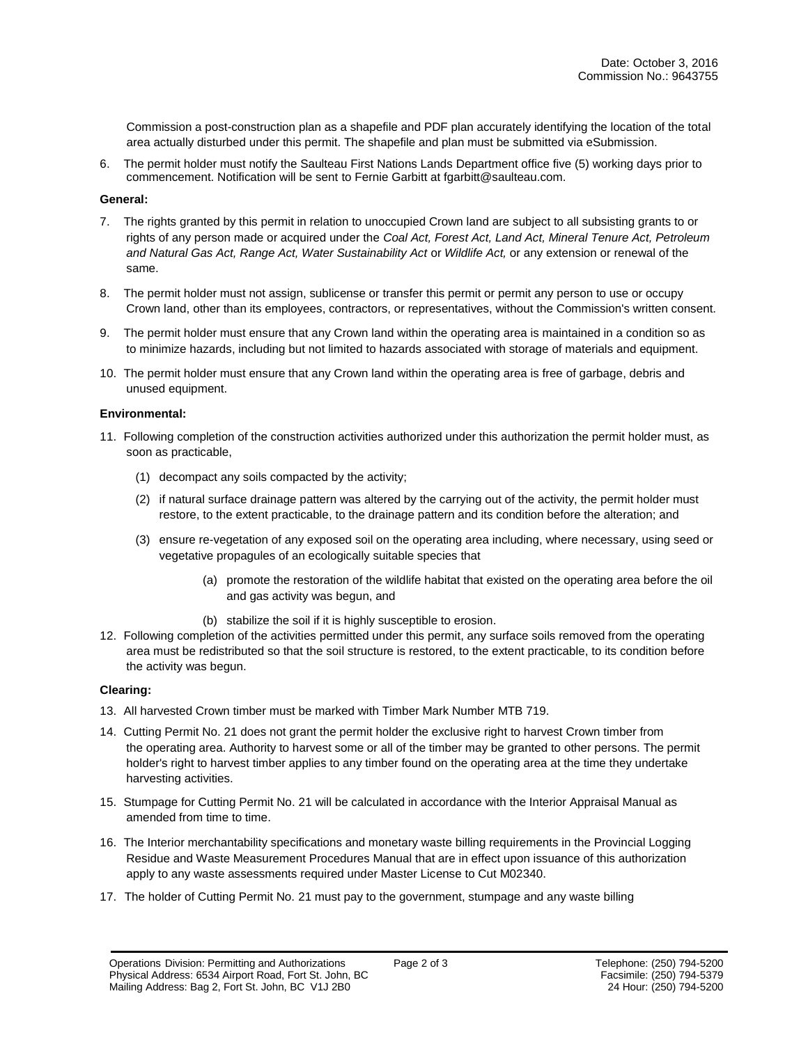Commission a post-construction plan as a shapefile and PDF plan accurately identifying the location of the total area actually disturbed under this permit. The shapefile and plan must be submitted via eSubmission.

6. The permit holder must notify the Saulteau First Nations Lands Department office five (5) working days prior to commencement. Notification will be sent to Fernie Garbitt at fgarbitt@saulteau.com.

#### **General:**

- 7. The rights granted by this permit in relation to unoccupied Crown land are subject to all subsisting grants to or rights of any person made or acquired under the *Coal Act, Forest Act, Land Act, Mineral Tenure Act, Petroleum and Natural Gas Act, Range Act, Water Sustainability Act* or *Wildlife Act,* or any extension or renewal of the same.
- 8. The permit holder must not assign, sublicense or transfer this permit or permit any person to use or occupy Crown land, other than its employees, contractors, or representatives, without the Commission's written consent.
- 9. The permit holder must ensure that any Crown land within the operating area is maintained in a condition so as to minimize hazards, including but not limited to hazards associated with storage of materials and equipment.
- 10. The permit holder must ensure that any Crown land within the operating area is free of garbage, debris and unused equipment.

#### **Environmental:**

- 11. Following completion of the construction activities authorized under this authorization the permit holder must, as soon as practicable,
	- (1) decompact any soils compacted by the activity;
	- (2) if natural surface drainage pattern was altered by the carrying out of the activity, the permit holder must restore, to the extent practicable, to the drainage pattern and its condition before the alteration; and
	- (3) ensure re-vegetation of any exposed soil on the operating area including, where necessary, using seed or vegetative propagules of an ecologically suitable species that
		- (a) promote the restoration of the wildlife habitat that existed on the operating area before the oil and gas activity was begun, and
		- (b) stabilize the soil if it is highly susceptible to erosion.
- 12. Following completion of the activities permitted under this permit, any surface soils removed from the operating area must be redistributed so that the soil structure is restored, to the extent practicable, to its condition before the activity was begun.

#### **Clearing:**

- 13. All harvested Crown timber must be marked with Timber Mark Number MTB 719.
- 14. Cutting Permit No. 21 does not grant the permit holder the exclusive right to harvest Crown timber from the operating area. Authority to harvest some or all of the timber may be granted to other persons. The permit holder's right to harvest timber applies to any timber found on the operating area at the time they undertake harvesting activities.
- 15. Stumpage for Cutting Permit No. 21 will be calculated in accordance with the Interior Appraisal Manual as amended from time to time.
- 16. The Interior merchantability specifications and monetary waste billing requirements in the Provincial Logging Residue and Waste Measurement Procedures Manual that are in effect upon issuance of this authorization apply to any waste assessments required under Master License to Cut M02340.
- 17. The holder of Cutting Permit No. 21 must pay to the government, stumpage and any waste billing